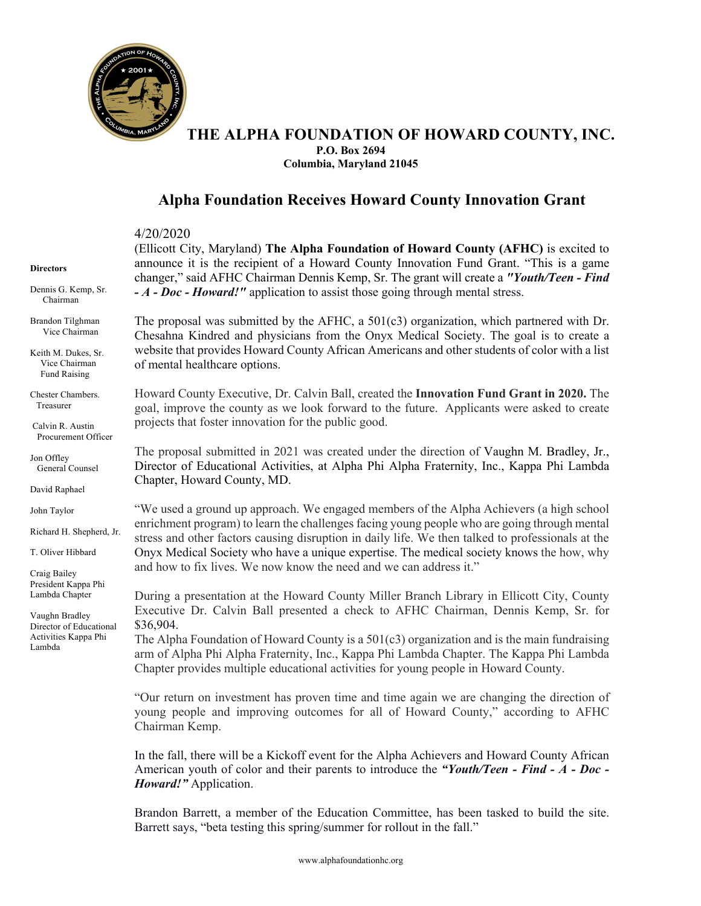

## **THE ALPHA FOUNDATION OF HOWARD COUNTY, INC. P.O. Box 2694 Columbia, Maryland 21045**

## **Alpha Foundation Receives Howard County Innovation Grant**

4/20/2020

(Ellicott City, Maryland) **The Alpha Foundation of Howard County (AFHC)** is excited to announce it is the recipient of a Howard County Innovation Fund Grant. "This is a game changer," said AFHC Chairman Dennis Kemp, Sr. The grant will create a *"Youth/Teen - Find - A - Doc - Howard!"* application to assist those going through mental stress.

The proposal was submitted by the AFHC, a 501(c3) organization, which partnered with Dr. Chesahna Kindred and physicians from the Onyx Medical Society. The goal is to create a website that provides Howard County African Americans and other students of color with a list of mental healthcare options.

Howard County Executive, Dr. Calvin Ball, created the **Innovation Fund Grant in 2020.** The goal, improve the county as we look forward to the future. Applicants were asked to create projects that foster innovation for the public good.

The proposal submitted in 2021 was created under the direction of Vaughn M. Bradley, Jr., Director of Educational Activities, at Alpha Phi Alpha Fraternity, Inc., Kappa Phi Lambda Chapter, Howard County, MD.

"We used a ground up approach. We engaged members of the Alpha Achievers (a high school enrichment program) to learn the challenges facing young people who are going through mental stress and other factors causing disruption in daily life. We then talked to professionals at the Onyx Medical Society who have a unique expertise. The medical society knows the how, why and how to fix lives. We now know the need and we can address it."

During a presentation at the Howard County Miller Branch Library in Ellicott City, County Executive Dr. Calvin Ball presented a check to AFHC Chairman, Dennis Kemp, Sr. for \$36,904.

The Alpha Foundation of Howard County is a  $501(c3)$  organization and is the main fundraising arm of Alpha Phi Alpha Fraternity, Inc., Kappa Phi Lambda Chapter. The Kappa Phi Lambda Chapter provides multiple educational activities for young people in Howard County.

"Our return on investment has proven time and time again we are changing the direction of young people and improving outcomes for all of Howard County," according to AFHC Chairman Kemp.

In the fall, there will be a Kickoff event for the Alpha Achievers and Howard County African American youth of color and their parents to introduce the *"Youth/Teen - Find - A - Doc - Howard!"* Application.

Brandon Barrett, a member of the Education Committee, has been tasked to build the site. Barrett says, "beta testing this spring/summer for rollout in the fall."

**Directors**

Dennis G. Kemp, Sr. Chairman

Brandon Tilghman Vice Chairman

Keith M. Dukes, Sr. Vice Chairman Fund Raising

Chester Chambers. Treasurer

Calvin R. Austin Procurement Officer

Jon Offley General Counsel

David Raphael

John Taylor

Richard H. Shepherd, Jr.

T. Oliver Hibbard

Craig Bailey President Kappa Phi Lambda Chapter

Vaughn Bradley Director of Educational Activities Kappa Phi Lambda